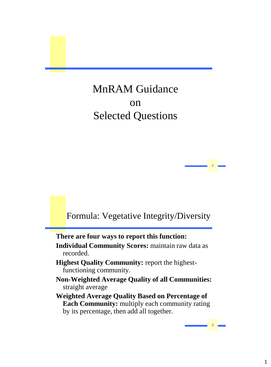# MnRAM Guidance on Selected Questions

### Formula: Vegetative Integrity/Diversity

1 1

2 2

**There are four ways to report this function: Individual Community Scores:** maintain raw data as recorded.

- **Highest Quality Community:** report the highestfunctioning community.
- **Non-Weighted Average Quality of all Communities:**  straight average
- **Weighted Average Quality Based on Percentage of Each Community:** multiply each community rating by its percentage, then add all together.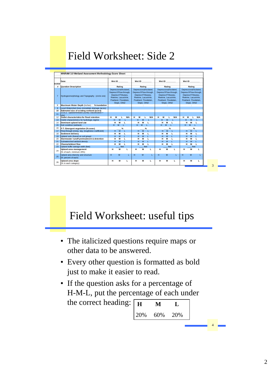# Field Worksheet: Side 2



### Field Worksheet: useful tips

- The italicized questions require maps or other data to be answered.
- Every other question is formatted as bold just to make it easier to read.
- If the question asks for a percentage of H-M-L, put the percentage of each under the correct heading:  $\boxed{H \quad M \quad L}$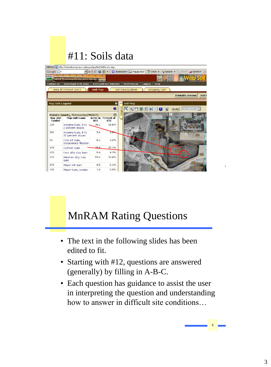# #11: Soils data

| Address   http://websoilsurvey.nrcs.usda.gov/app/WebSoilSurvey.aspx |                                                                                                |                                      |                                            |  |                                                                                                                                                                                                                                                                                                                                                                                                                                                                                                                                                                                                                        |
|---------------------------------------------------------------------|------------------------------------------------------------------------------------------------|--------------------------------------|--------------------------------------------|--|------------------------------------------------------------------------------------------------------------------------------------------------------------------------------------------------------------------------------------------------------------------------------------------------------------------------------------------------------------------------------------------------------------------------------------------------------------------------------------------------------------------------------------------------------------------------------------------------------------------------|
| $Google   G -$                                                      |                                                                                                | $\blacktriangleright$ Go $\sqrt{35}$ | $\bigcirc$ $\mathbb{F}$                    |  | *** Check > AutoLink > AutoFill > Send to ><br>Bookmarks $\Box$ Popups okay                                                                                                                                                                                                                                                                                                                                                                                                                                                                                                                                            |
|                                                                     | <b>USDA</b> United States Department of Agriculture<br>Natural Resources Conservation Service. | л                                    | ъı                                         |  |                                                                                                                                                                                                                                                                                                                                                                                                                                                                                                                                                                                                                        |
| <b>Contact Us</b>                                                   | <b>Download Soils Data</b>                                                                     |                                      | <b>Archived Soil Surveys</b>               |  | Preferences<br>Logout<br>Help                                                                                                                                                                                                                                                                                                                                                                                                                                                                                                                                                                                          |
|                                                                     | Area of Interest (AOI)                                                                         | Soil Map                             |                                            |  | Soil Data Explorer<br><b>Shopping Cart</b>                                                                                                                                                                                                                                                                                                                                                                                                                                                                                                                                                                             |
|                                                                     |                                                                                                |                                      |                                            |  | <b>Printable Version</b><br>Add t                                                                                                                                                                                                                                                                                                                                                                                                                                                                                                                                                                                      |
| <b>Map Unit Legend</b>                                              |                                                                                                |                                      | ۰                                          |  | <b>Soil Map</b>                                                                                                                                                                                                                                                                                                                                                                                                                                                                                                                                                                                                        |
|                                                                     |                                                                                                |                                      | $\bullet$                                  |  | $Q$ $\left\{ \left. \right. \right. \left. \left. \right. \right. \left. \left. \right. \right. \left. \left. \right. \left. \left. \right. \right. \left. \left. \right. \left. \right. \left. \left. \right. \right. \left. \left. \right. \right. \left. \left. \right. \right. \left. \left. \right. \left. \left. \right. \right. \left. \left. \right. \right. \left. \left. \right. \right. \left. \left. \right. \right. \left. \left. \right. \right. \left. \left. \left. \right. \right. \left. \left. \right. \right. \left. \left. \right. \right$<br>(not to scale) $\blacktriangledown$<br><b>Scale</b> |
| <b>Map Unit</b><br>Symbol                                           | Dakota County, Minnesota (MN037)<br><b>Map Unit Name</b>                                       | Acres in<br>AOI                      | $\circledcirc$<br><b>Percent of</b><br>AOI |  | HERITAGE WAY                                                                                                                                                                                                                                                                                                                                                                                                                                                                                                                                                                                                           |
| 39A                                                                 | Wadena loam, 0 to<br>2 percent slopes                                                          | 36.1                                 | 18.6%                                      |  |                                                                                                                                                                                                                                                                                                                                                                                                                                                                                                                                                                                                                        |
| 39C                                                                 | Wadena loam, 6 to<br>12 percent slopes                                                         | 5.4                                  | $\overline{z}$                             |  |                                                                                                                                                                                                                                                                                                                                                                                                                                                                                                                                                                                                                        |
| 98                                                                  | Colo silt loam.<br>occasionally flooded                                                        | 6.1                                  | 3.2%                                       |  | 39A                                                                                                                                                                                                                                                                                                                                                                                                                                                                                                                                                                                                                    |
| 129                                                                 | Cylinder loam                                                                                  | 49.0                                 | 25.1%                                      |  |                                                                                                                                                                                                                                                                                                                                                                                                                                                                                                                                                                                                                        |
| 208                                                                 | Kato silty clay loam                                                                           | 8.4                                  | 4.3%                                       |  |                                                                                                                                                                                                                                                                                                                                                                                                                                                                                                                                                                                                                        |
| 252                                                                 | Marshan silty clay<br>loam                                                                     | 59.4                                 | 30.6%                                      |  |                                                                                                                                                                                                                                                                                                                                                                                                                                                                                                                                                                                                                        |
| 255                                                                 | Mayer silt loam                                                                                | 0.2                                  | 0.1%                                       |  |                                                                                                                                                                                                                                                                                                                                                                                                                                                                                                                                                                                                                        |
| 318                                                                 | Mayer loam, swales                                                                             | 1.6                                  | 0.8%                                       |  |                                                                                                                                                                                                                                                                                                                                                                                                                                                                                                                                                                                                                        |

# MnRAM Rating Questions

- The text in the following slides has been edited to fit.
- Starting with #12, questions are answered (generally) by filling in A-B-C.
- Each question has guidance to assist the user in interpreting the question and understanding how to answer in difficult site conditions…

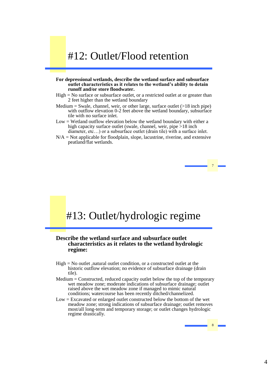### #12: Outlet/Flood retention

#### **For depressional wetlands, describe the wetland surface and subsurface outlet characteristics as it relates to the wetland's ability to detain runoff and/or store floodwater.**

- High = No surface or subsurface outlet, or a restricted outlet at or greater than 2 feet higher than the wetland boundary
- Medium = Swale, channel, weir, or other large, surface outlet  $(>18$  inch pipe) with outflow elevation 0-2 feet above the wetland boundary, subsurface tile with no surface inlet.
- Low = Wetland outflow elevation below the wetland boundary with either a high capacity surface outlet (swale, channel, weir, pipe >18 inch diameter, etc…) or a subsurface outlet (drain tile) with a surface inlet.
- $N/A = Not$  applicable for floodplain, slope, lacustrine, riverine, and extensive peatland/flat wetlands.

7 7

8 8

### #13: Outlet/hydrologic regime

#### **Describe the wetland surface and subsurface outlet characteristics as it relates to the wetland hydrologic regime:**

- High = No outlet ,natural outlet condition, or a constructed outlet at the historic outflow elevation; no evidence of subsurface drainage (drain tile).
- Medium = Constructed, reduced capacity outlet below the top of the temporary wet meadow zone; moderate indications of subsurface drainage; outlet raised above the wet meadow zone if managed to mimic natural conditions; watercourse has been recently ditched/channelized.
- Low = Excavated or enlarged outlet constructed below the bottom of the wet meadow zone; strong indications of subsurface drainage; outlet removes most/all long-term and temporary storage; or outlet changes hydrologic regime drastically.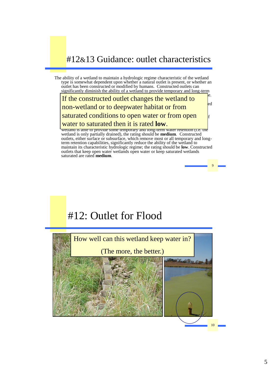### #12&13 Guidance: outlet characteristics

The ability of a wetland to maintain a hydrologic regime characteristic of the wetland type is somewhat dependent upon whether a natural outlet is present, or whether an outlet has been constructed or modified by humans. Constructed outlets can significantly diminish the ability of a wetland to provide temporary and long-term

 $\frac{1}{\sqrt{1-\frac{1}{\sqrt{1-\frac{1}{\sqrt{1-\frac{1}{\sqrt{1-\frac{1}{\sqrt{1-\frac{1}{\sqrt{1-\frac{1}{\sqrt{1-\frac{1}{\sqrt{1-\frac{1}{\sqrt{1-\frac{1}{\sqrt{1-\frac{1}{\sqrt{1-\frac{1}{\sqrt{1-\frac{1}{\sqrt{1-\frac{1}{\sqrt{1-\frac{1}{\sqrt{1-\frac{1}{\sqrt{1-\frac{1}{\sqrt{1-\frac{1}{\sqrt{1-\frac{1}{\sqrt{1-\frac{1}{\sqrt{1-\frac{1}{\sqrt{1-\frac{1}{\sqrt{1-\frac{1}{\sqrt{1-\frac{1}{\sqrt{1-\frac{1$ If the constructed outlet changes the wetland to type within the wetland comparison domain, and should be rated **high**. Constructed non-wetland or to deepwater habitat or from managed to mimic natural conditions. Constructed outlets, either surface or saturated conditions to open water or from open  $\left| \cdot \right|$  $t_{\text{total}}$  to protincted then it is noted lowwater to saturated then it is rated **low**.

wetland is able to provide some temporary and long-term water retention (i.e. the wetland is only partially drained), the rating should be **medium**. Constructed outlets, either surface or subsurface, which remove most or all temporary and longterm retention capabilities, significantly reduce the ability of the wetland to maintain its characteristic hydrologic regime; the rating should be **low**. Constructed outlets that keep open water wetlands open water or keep saturated wetlands saturated are rated **medium**.



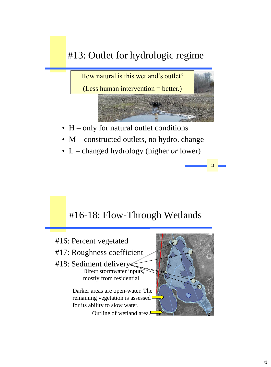# #13: Outlet for hydrologic regime



11

- H only for natural outlet conditions
- M constructed outlets, no hydro. change
- L changed hydrology (higher *or* lower)

### #16-18: Flow-Through Wetlands

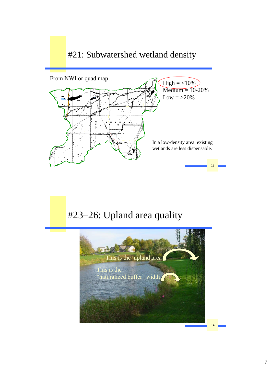### #21: Subwatershed wetland density



### #23–26: Upland area quality

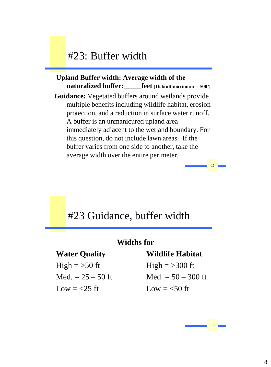### #23: Buffer width

### **Upland Buffer width: Average width of the naturalized buffer:\_\_\_\_\_feet [Default maximum = 500']**

**Guidance:** Vegetated buffers around wetlands provide multiple benefits including wildlife habitat, erosion protection, and a reduction in surface water runoff. A buffer is an unmanicured upland area immediately adjacent to the wetland boundary. For this question, do not include lawn areas. If the buffer varies from one side to another, take the average width over the entire perimeter.

### #23 Guidance, buffer width

#### **Widths for**

High  $=$  >50 ft High  $=$  >300 ft Low  $= <25$  ft Low  $= <50$  ft

#### **Water Quality Wildlife Habitat**

Med.  $= 25 - 50$  ft Med.  $= 50 - 300$  ft

16 16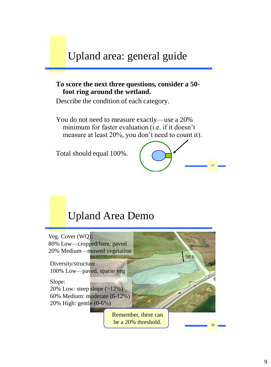# Upland area: general guide

#### **To score the next three questions***,* **consider a 50 foot ring around the wetland.**

Describe the condition of each category.

You do not need to measure exactly—use a 20% minimum for faster evaluation (i.e. if it doesn't measure at least 20%, you don't need to count it).

Total should equal 100%.



### Upland Area Demo

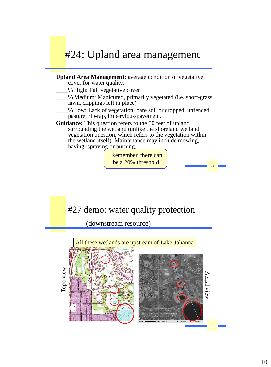# #24: Upland area management

#### **Upland Area Management**: average condition of vegetative cover for water quality.

- \_\_\_\_% High: Full vegetative cover
- \_\_\_\_% Medium: Manicured, primarily vegetated (i.e. short-grass lawn, clippings left in place)
- \_\_\_\_% Low: Lack of vegetation: bare soil or cropped, unfenced pasture, rip-rap, impervious/pavement.
- **Guidance:** This question refers to the 50 feet of upland surrounding the wetland (unlike the shoreland wetland vegetation question, which refers to the vegetation within the wetland itself). Maintenance may include mowing, haying, spraying or burning.

Remember, there can be a 20% threshold.

19 19

### #27 demo: water quality protection

(downstream resource)

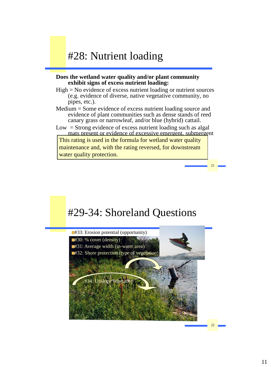### #28: Nutrient loading

#### **Does the wetland water quality and/or plant community exhibit signs of excess nutrient loading:**

- High = No evidence of excess nutrient loading or nutrient sources (e.g. evidence of diverse, native vegetative community, no pipes, etc.).
- Medium = Some evidence of excess nutrient loading source and evidence of plant communities such as dense stands of reed canary grass or narrowleaf, and/or blue (hybrid) cattail.
- $Low = Strong evidence of excess nutrient loading such as algal$ mats present or evidence of excessive emergent, submergent

This rating is used in the formula for wetland water quality maintenance and, with the rating reversed, for downstream water quality protection.

# #29-34: Shoreland Questions



22 22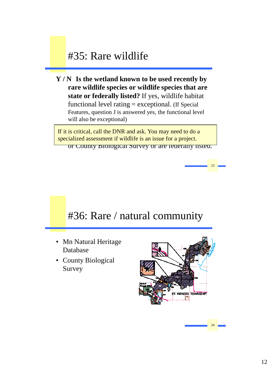### #35: Rare wildlife

**Y / N Is the wetland known to be used recently by rare wildlife species or wildlife species that are state or federally listed?** If yes, wildlife habitat functional level rating = exceptional. (If Special Features, question J is answered yes, the functional level will also be exceptional)

If it is critical, call the DNR and ask. You may need to do a specialized assessment if wildlife is an issue for a project. or County Biological Survey or are federally listed.

### #36: Rare / natural community

- Database
- Survey



24 24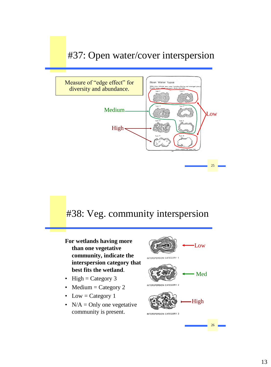### #37: Open water/cover interspersion



### #38: Veg. community interspersion

- **For wetlands having more than one vegetative community, indicate the interspersion category that best fits the wetland**.
- High = Category  $3$
- Medium  $=$  Category 2
- Low = Category 1
- $N/A =$  Only one vegetative community is present.

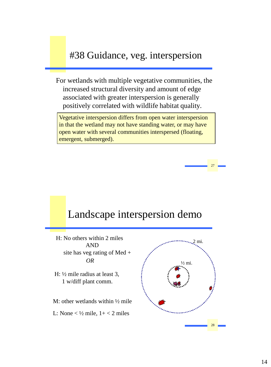### #38 Guidance, veg. interspersion

For wetlands with multiple vegetative communities, the increased structural diversity and amount of edge associated with greater interspersion is generally positively correlated with wildlife habitat quality.

in that the wetland may not have standing water, or may have open water with several communities interspersed (floating, Vegetative interspersion differs from open water interspersion emergent, submerged).

### Landscape interspersion demo

H: No others within 2 miles AND site has veg rating of Med + *OR*

- H: ½ mile radius at least 3, 1 w/diff plant comm.
- M: other wetlands within  $\frac{1}{2}$  mile
- L: None  $\lt \frac{1}{2}$  mile,  $1 + \lt 2$  miles